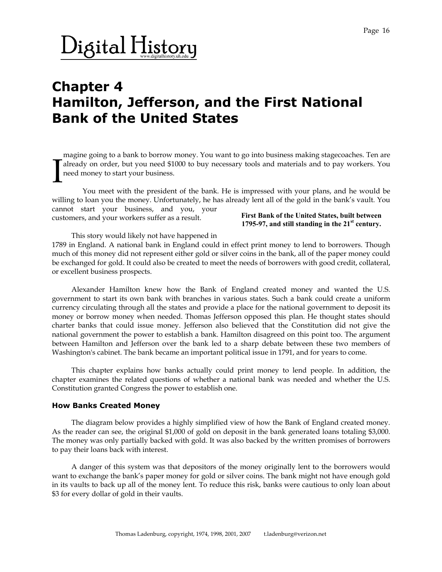### $\mathrm{Digital \, History}$

### **Chapter 4 Hamilton, Jefferson, and the First National Bank of the United States**

magine going to a bank to borrow money. You want to go into business making stagecoaches. Ten are already on order, but you need \$1000 to buy necessary tools and materials and to pay workers. You need money to start your business. I

 You meet with the president of the bank. He is impressed with your plans, and he would be willing to loan you the money. Unfortunately, he has already lent all of the gold in the bank's vault. You cannot start your business, and you, your

customers, and your workers suffer as a result.

**First Bank of the United States, built between 1795-97, and still standing in the 21st century.**

This story would likely not have happened in

1789 in England. A national bank in England could in effect print money to lend to borrowers. Though much of this money did not represent either gold or silver coins in the bank, all of the paper money could be exchanged for gold. It could also be created to meet the needs of borrowers with good credit, collateral, or excellent business prospects.

 Alexander Hamilton knew how the Bank of England created money and wanted the U.S. government to start its own bank with branches in various states. Such a bank could create a uniform currency circulating through all the states and provide a place for the national government to deposit its money or borrow money when needed. Thomas Jefferson opposed this plan. He thought states should charter banks that could issue money. Jefferson also believed that the Constitution did not give the national government the power to establish a bank. Hamilton disagreed on this point too. The argument between Hamilton and Jefferson over the bank led to a sharp debate between these two members of Washington's cabinet. The bank became an important political issue in 1791, and for years to come.

 This chapter explains how banks actually could print money to lend people. In addition, the chapter examines the related questions of whether a national bank was needed and whether the U.S. Constitution granted Congress the power to establish one.

#### **How Banks Created Money**

 The diagram below provides a highly simplified view of how the Bank of England created money. As the reader can see, the original \$1,000 of gold on deposit in the bank generated loans totaling \$3,000. The money was only partially backed with gold. It was also backed by the written promises of borrowers to pay their loans back with interest.

 A danger of this system was that depositors of the money originally lent to the borrowers would want to exchange the bank's paper money for gold or silver coins. The bank might not have enough gold in its vaults to back up all of the money lent. To reduce this risk, banks were cautious to only loan about \$3 for every dollar of gold in their vaults.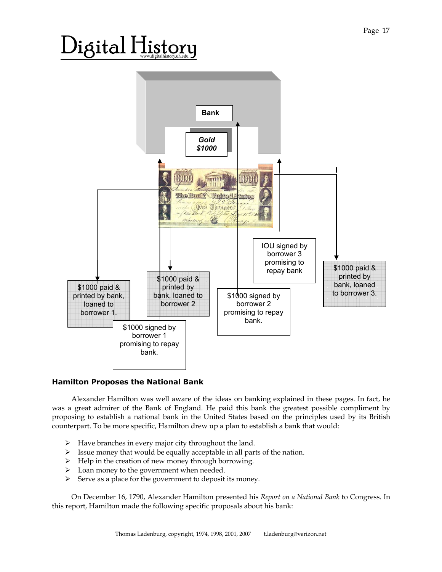# $\rm{)}$ igital  $\rm{H}$ istory



#### **Hamilton Proposes the National Bank**

 Alexander Hamilton was well aware of the ideas on banking explained in these pages. In fact, he was a great admirer of the Bank of England. He paid this bank the greatest possible compliment by proposing to establish a national bank in the United States based on the principles used by its British counterpart. To be more specific, Hamilton drew up a plan to establish a bank that would:

- $\triangleright$  Have branches in every major city throughout the land.
- $\triangleright$  Issue money that would be equally acceptable in all parts of the nation.
- ¾ Help in the creation of new money through borrowing.
- $\triangleright$  Loan money to the government when needed.
- $\triangleright$  Serve as a place for the government to deposit its money.

 On December 16, 1790, Alexander Hamilton presented his *Report on a National Bank* to Congress. In this report, Hamilton made the following specific proposals about his bank: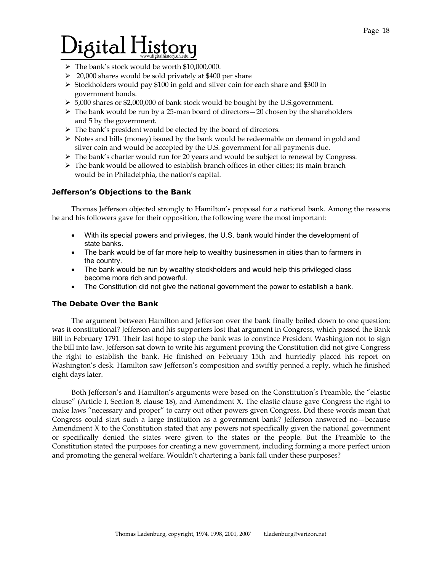# $\rm Digital\,History$

- ¾ The bank's stock would be worth \$10,000,000.
- $\geq 20,000$  shares would be sold privately at \$400 per share
- $\triangleright$  Stockholders would pay \$100 in gold and silver coin for each share and \$300 in government bonds.
- ¾ 5,000 shares or \$2,000,000 of bank stock would be bought by the U.S.government.
- $\triangleright$  The bank would be run by a 25-man board of directors  $-20$  chosen by the shareholders and 5 by the government.
- $\blacktriangleright\;$  The bank's president would be elected by the board of directors.
- $\triangleright$  Notes and bills (money) issued by the bank would be redeemable on demand in gold and silver coin and would be accepted by the U.S. government for all payments due.
- $\triangleright$  The bank's charter would run for 20 years and would be subject to renewal by Congress.
- $\triangleright$  The bank would be allowed to establish branch offices in other cities; its main branch would be in Philadelphia, the nation's capital.

### **Jefferson's Objections to the Bank**

 Thomas Jefferson objected strongly to Hamilton's proposal for a national bank. Among the reasons he and his followers gave for their opposition, the following were the most important:

- With its special powers and privileges, the U.S. bank would hinder the development of state banks.
- The bank would be of far more help to wealthy businessmen in cities than to farmers in the country.
- The bank would be run by wealthy stockholders and would help this privileged class become more rich and powerful.
- The Constitution did not give the national government the power to establish a bank.

### **The Debate Over the Bank**

 The argument between Hamilton and Jefferson over the bank finally boiled down to one question: was it constitutional? Jefferson and his supporters lost that argument in Congress, which passed the Bank Bill in February 1791. Their last hope to stop the bank was to convince President Washington not to sign the bill into law. Jefferson sat down to write his argument proving the Constitution did not give Congress the right to establish the bank. He finished on February 15th and hurriedly placed his report on Washington's desk. Hamilton saw Jefferson's composition and swiftly penned a reply, which he finished eight days later.

 Both Jefferson's and Hamilton's arguments were based on the Constitution's Preamble, the "elastic clause" (Article I, Section 8, clause 18), and Amendment X. The elastic clause gave Congress the right to make laws "necessary and proper" to carry out other powers given Congress. Did these words mean that Congress could start such a large institution as a government bank? Jefferson answered no—because Amendment X to the Constitution stated that any powers not specifically given the national government or specifically denied the states were given to the states or the people. But the Preamble to the Constitution stated the purposes for creating a new government, including forming a more perfect union and promoting the general welfare. Wouldn't chartering a bank fall under these purposes?